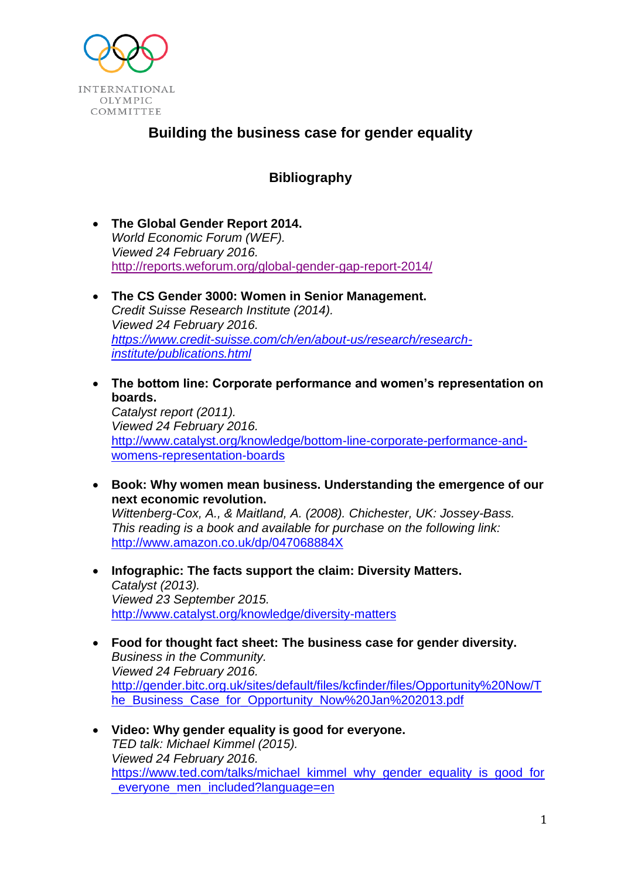

# **Building the business case for gender equality**

# **Bibliography**

- **The Global Gender Report 2014.** *World Economic Forum (WEF). Viewed 24 February 2016.* <http://reports.weforum.org/global-gender-gap-report-2014/>
- **The CS Gender 3000: Women in Senior Management.** *Credit Suisse Research Institute (2014). Viewed 24 February 2016. [https://www.credit-suisse.com/ch/en/about-us/research/research](https://www.credit-suisse.com/ch/en/about-us/research/research-institute/publications.html)[institute/publications.html](https://www.credit-suisse.com/ch/en/about-us/research/research-institute/publications.html)*
- **The bottom line: Corporate performance and women's representation on boards.** *Catalyst report (2011). Viewed 24 February 2016.* [http://www.catalyst.org/knowledge/bottom-line-corporate-performance-and](http://www.catalyst.org/knowledge/bottom-line-corporate-performance-and-womens-representation-boards)[womens-representation-boards](http://www.catalyst.org/knowledge/bottom-line-corporate-performance-and-womens-representation-boards)
- **Book: Why women mean business. Understanding the emergence of our next economic revolution.** *Wittenberg-Cox, A., & Maitland, A. (2008). Chichester, UK: Jossey-Bass. This reading is a book and available for purchase on the following link:* <http://www.amazon.co.uk/dp/047068884X>
- **Infographic: The facts support the claim: Diversity Matters.** *Catalyst (2013). Viewed 23 September 2015.* <http://www.catalyst.org/knowledge/diversity-matters>
- **Food for thought fact sheet: The business case for gender diversity.** *Business in the Community. Viewed 24 February 2016.* [http://gender.bitc.org.uk/sites/default/files/kcfinder/files/Opportunity%20Now/T](http://gender.bitc.org.uk/sites/default/files/kcfinder/files/Opportunity%20Now/The_Business_Case_for_Opportunity_Now%20Jan%202013.pdf) [he\\_Business\\_Case\\_for\\_Opportunity\\_Now%20Jan%202013.pdf](http://gender.bitc.org.uk/sites/default/files/kcfinder/files/Opportunity%20Now/The_Business_Case_for_Opportunity_Now%20Jan%202013.pdf)
- **Video: Why gender equality is good for everyone.** *TED talk: Michael Kimmel (2015). Viewed 24 February 2016.* [https://www.ted.com/talks/michael\\_kimmel\\_why\\_gender\\_equality\\_is\\_good\\_for](https://www.ted.com/talks/michael_kimmel_why_gender_equality_is_good_for_everyone_men_included?language=en) everyone men included?language=en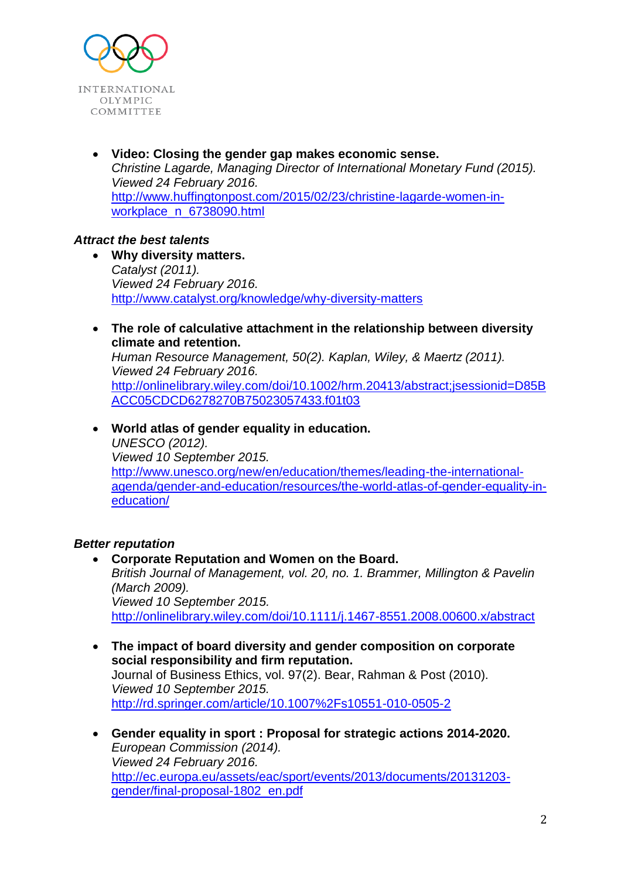

 **Video: Closing the gender gap makes economic sense.** *Christine Lagarde, Managing Director of International Monetary Fund (2015). Viewed 24 February 2016.* [http://www.huffingtonpost.com/2015/02/23/christine-lagarde-women-in](http://www.huffingtonpost.com/2015/02/23/christine-lagarde-women-in-workplace_n_6738090.html)[workplace\\_n\\_6738090.html](http://www.huffingtonpost.com/2015/02/23/christine-lagarde-women-in-workplace_n_6738090.html)

## *Attract the best talents*

- **Why diversity matters.** *Catalyst (2011). Viewed 24 February 2016.* <http://www.catalyst.org/knowledge/why-diversity-matters>
- **The role of calculative attachment in the relationship between diversity climate and retention.** *Human Resource Management, 50(2). Kaplan, Wiley, & Maertz (2011). Viewed 24 February 2016.* http://onlinelibrary.wiley.com/doi/10.1002/hrm.20413/abstract:jsessionid=D85B [ACC05CDCD6278270B75023057433.f01t03](http://onlinelibrary.wiley.com/doi/10.1002/hrm.20413/abstract;jsessionid=D85BACC05CDCD6278270B75023057433.f01t03)
- **World atlas of gender equality in education.**  *UNESCO (2012). Viewed 10 September 2015.* [http://www.unesco.org/new/en/education/themes/leading-the-international](http://www.unesco.org/new/en/education/themes/leading-the-international-agenda/gender-and-education/resources/the-world-atlas-of-gender-equality-in-education/)[agenda/gender-and-education/resources/the-world-atlas-of-gender-equality-in](http://www.unesco.org/new/en/education/themes/leading-the-international-agenda/gender-and-education/resources/the-world-atlas-of-gender-equality-in-education/)[education/](http://www.unesco.org/new/en/education/themes/leading-the-international-agenda/gender-and-education/resources/the-world-atlas-of-gender-equality-in-education/)

#### *Better reputation*

- **Corporate Reputation and Women on the Board.** *British Journal of Management, vol. 20, no. 1. Brammer, Millington & Pavelin (March 2009). Viewed 10 September 2015.* <http://onlinelibrary.wiley.com/doi/10.1111/j.1467-8551.2008.00600.x/abstract>
- **The impact of board diversity and gender composition on corporate social responsibility and firm reputation.** Journal of Business Ethics, vol. 97(2). Bear, Rahman & Post (2010). *Viewed 10 September 2015.* <http://rd.springer.com/article/10.1007%2Fs10551-010-0505-2>
- **Gender equality in sport : Proposal for strategic actions 2014-2020.** *European Commission (2014). Viewed 24 February 2016.* [http://ec.europa.eu/assets/eac/sport/events/2013/documents/20131203](http://ec.europa.eu/assets/eac/sport/events/2013/documents/20131203-gender/final-proposal-1802_en.pdf) [gender/final-proposal-1802\\_en.pdf](http://ec.europa.eu/assets/eac/sport/events/2013/documents/20131203-gender/final-proposal-1802_en.pdf)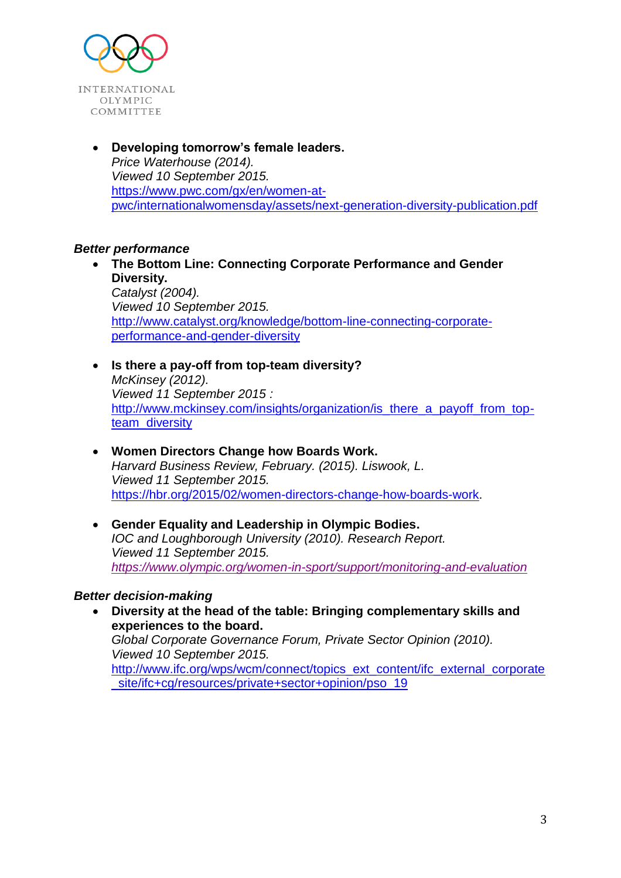

 **Developing tomorrow's female leaders.** *Price Waterhouse (2014). Viewed 10 September 2015.* [https://www.pwc.com/gx/en/women-at](https://www.pwc.com/gx/en/women-at-pwc/internationalwomensday/assets/next-generation-diversity-publication.pdf)[pwc/internationalwomensday/assets/next-generation-diversity-publication.pdf](https://www.pwc.com/gx/en/women-at-pwc/internationalwomensday/assets/next-generation-diversity-publication.pdf)

## *Better performance*

- **The Bottom Line: Connecting Corporate Performance and Gender Diversity.** *Catalyst (2004). Viewed 10 September 2015.* [http://www.catalyst.org/knowledge/bottom-line-connecting-corporate](http://www.catalyst.org/knowledge/bottom-line-connecting-corporate-performance-and-gender-diversity)[performance-and-gender-diversity](http://www.catalyst.org/knowledge/bottom-line-connecting-corporate-performance-and-gender-diversity)
- **Is there a pay-off from top-team diversity?** *McKinsey (2012). Viewed 11 September 2015 :* [http://www.mckinsey.com/insights/organization/is\\_there\\_a\\_payoff\\_from\\_top](http://www.mckinsey.com/insights/organization/is_there_a_payoff_from_top-team_diversity)[team\\_diversity](http://www.mckinsey.com/insights/organization/is_there_a_payoff_from_top-team_diversity)
- **Women Directors Change how Boards Work.** *Harvard Business Review, February. (2015). Liswook, L. Viewed 11 September 2015.* [https://hbr.org/2015/02/women-directors-change-how-boards-work.](https://hbr.org/2015/02/women-directors-change-how-boards-work)
- **Gender Equality and Leadership in Olympic Bodies.** *IOC and Loughborough University (2010). Research Report. Viewed 11 September 2015. <https://www.olympic.org/women-in-sport/support/monitoring-and-evaluation>*

#### *Better decision-making*

 **Diversity at the head of the table: Bringing complementary skills and experiences to the board.** *Global Corporate Governance Forum, Private Sector Opinion (2010).*

*Viewed 10 September 2015.* [http://www.ifc.org/wps/wcm/connect/topics\\_ext\\_content/ifc\\_external\\_corporate](http://www.ifc.org/wps/wcm/connect/topics_ext_content/ifc_external_corporate_site/ifc+cg/resources/private+sector+opinion/pso_19) site/ifc+cg/resources/private+sector+opinion/pso\_19